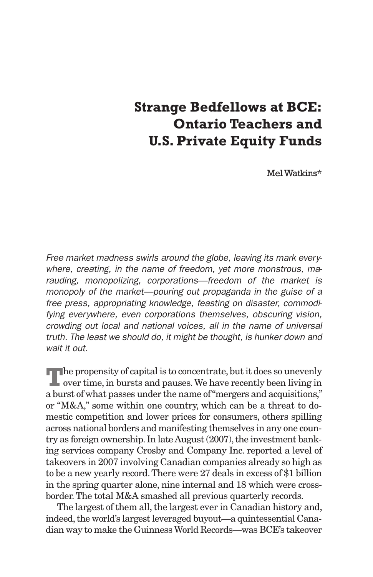## **Strange Bedfellows at BCE: Ontario Teachers and U.S. Private Equity Funds**

MelWatkins\*

*Free market madness swirls around the globe, leaving its mark everywhere, creating, in the name of freedom, yet more monstrous, marauding, monopolizing, corporations—freedom of the market is monopoly of the market—pouring out propaganda in the guise of a free press, appropriating knowledge, feasting on disaster, commodifying everywhere, even corporations themselves, obscuring vision, crowding out local and national voices, all in the name of universal truth. The least we should do, it might be thought, is hunker down and wait it out.*

**T**he propensity of capital is to concentrate, but it does so unevenly over time, in bursts and pauses.We have recently been living in a burst of what passes under the name of"mergers and acquisitions," or "M&A," some within one country, which can be a threat to domestic competition and lower prices for consumers, others spilling across national borders and manifesting themselves in any one country as foreign ownership. In late August (2007), the investment banking services company Crosby and Company Inc. reported a level of takeovers in 2007 involving Canadian companies already so high as to be a new yearly record.There were 27 deals in excess of \$1 billion in the spring quarter alone, nine internal and 18 which were crossborder.The total M&A smashed all previous quarterly records.

The largest of them all, the largest ever in Canadian history and, indeed, the world's largest leveraged buyout—a quintessential Canadian way to make the GuinnessWorld Records—was BCE's takeover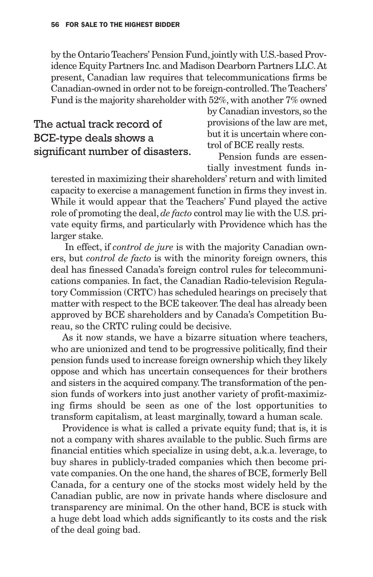by the OntarioTeachers' Pension Fund,jointly with U.S.-based Providence Equity Partners Inc. and Madison Dearborn Partners LLC.At present, Canadian law requires that telecommunications firms be Canadian-owned in order not to be foreign-controlled. The Teachers' Fund is the majority shareholder with 52%, with another 7% owned

## The actual track record of BCE-type deals shows a significant number of disasters.

by Canadian investors, so the provisions of the law are met, but it is uncertain where control of BCE really rests.

Pension funds are essentially investment funds in-

terested in maximizing their shareholders' return and with limited capacity to exercise a management function in firms they invest in. While it would appear that the Teachers' Fund played the active role of promoting the deal, *de facto* control may lie with the U.S. private equity firms, and particularly with Providence which has the larger stake.

In effect, if *control de jure* is with the majority Canadian owners, but *control de facto* is with the minority foreign owners, this deal has finessed Canada's foreign control rules for telecommunications companies. In fact, the Canadian Radio-television Regulatory Commission (CRTC) has scheduled hearings on precisely that matter with respect to the BCE takeover.The deal has already been approved by BCE shareholders and by Canada's Competition Bureau, so the CRTC ruling could be decisive.

As it now stands, we have a bizarre situation where teachers, who are unionized and tend to be progressive politically, find their pension funds used to increase foreign ownership which they likely oppose and which has uncertain consequences for their brothers and sisters in the acquired company.The transformation of the pension funds of workers into just another variety of profit-maximizing firms should be seen as one of the lost opportunities to transform capitalism, at least marginally, toward a human scale.

Providence is what is called a private equity fund; that is, it is not a company with shares available to the public. Such firms are financial entities which specialize in using debt, a.k.a. leverage, to buy shares in publicly-traded companies which then become private companies. On the one hand, the shares of BCE, formerly Bell Canada, for a century one of the stocks most widely held by the Canadian public, are now in private hands where disclosure and transparency are minimal. On the other hand, BCE is stuck with a huge debt load which adds significantly to its costs and the risk of the deal going bad.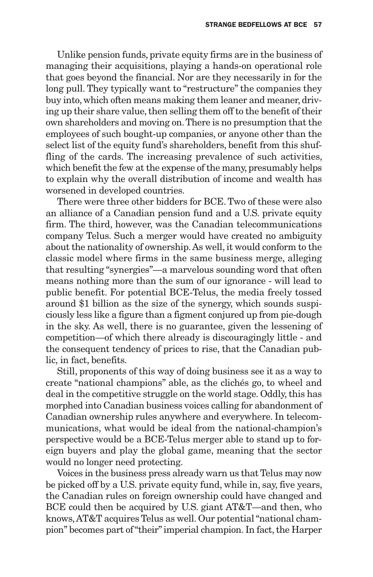Unlike pension funds, private equity firms are in the business of managing their acquisitions, playing a hands-on operational role that goes beyond the financial. Nor are they necessarily in for the long pull. They typically want to "restructure" the companies they buy into, which often means making them leaner and meaner, driving up their share value, then selling them off to the benefit of their own shareholders and moving on.There is no presumption that the employees of such bought-up companies, or anyone other than the select list of the equity fund's shareholders, benefit from this shuffling of the cards. The increasing prevalence of such activities, which benefit the few at the expense of the many, presumably helps to explain why the overall distribution of income and wealth has worsened in developed countries.

There were three other bidders for BCE.Two of these were also an alliance of a Canadian pension fund and a U.S. private equity firm. The third, however, was the Canadian telecommunications company Telus. Such a merger would have created no ambiguity about the nationality of ownership.As well, it would conform to the classic model where firms in the same business merge, alleging that resulting "synergies"—a marvelous sounding word that often means nothing more than the sum of our ignorance - will lead to public benefit. For potential BCE-Telus, the media freely tossed around \$1 billion as the size of the synergy, which sounds suspiciously less like a figure than a figment conjured up from pie-dough in the sky. As well, there is no guarantee, given the lessening of competition—of which there already is discouragingly little - and the consequent tendency of prices to rise, that the Canadian public, in fact, benefits.

Still, proponents of this way of doing business see it as a way to create "national champions" able, as the clichés go, to wheel and deal in the competitive struggle on the world stage. Oddly, this has morphed into Canadian business voices calling for abandonment of Canadian ownership rules anywhere and everywhere. In telecommunications, what would be ideal from the national-champion's perspective would be a BCE-Telus merger able to stand up to foreign buyers and play the global game, meaning that the sector would no longer need protecting.

Voices in the business press already warn us that Telus may now be picked off by a U.S. private equity fund, while in, say, five years, the Canadian rules on foreign ownership could have changed and BCE could then be acquired by U.S. giant AT&T—and then, who knows, AT&T acquires Telus as well. Our potential "national champion" becomes part of "their" imperial champion. In fact, the Harper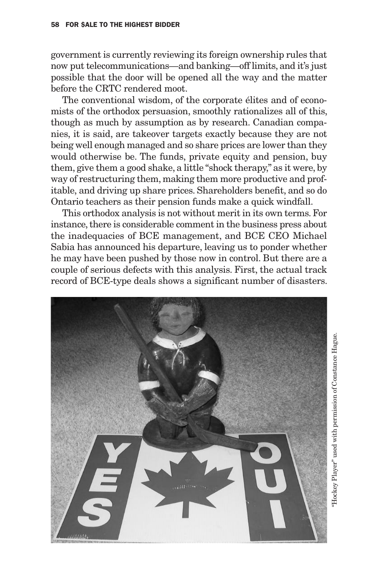government is currently reviewing its foreign ownership rules that now put telecommunications—and banking—off limits, and it's just possible that the door will be opened all the way and the matter before the CRTC rendered moot.

The conventional wisdom, of the corporate élites and of economists of the orthodox persuasion, smoothly rationalizes all of this, though as much by assumption as by research. Canadian companies, it is said, are takeover targets exactly because they are not being well enough managed and so share prices are lower than they would otherwise be. The funds, private equity and pension, buy them, give them a good shake, a little "shock therapy," as it were, by way of restructuring them, making them more productive and profitable, and driving up share prices. Shareholders benefit, and so do Ontario teachers as their pension funds make a quick windfall.

This orthodox analysis is not without merit in its own terms.For instance, there is considerable comment in the business press about the inadequacies of BCE management, and BCE CEO Michael Sabia has announced his departure, leaving us to ponder whether he may have been pushed by those now in control. But there are a couple of serious defects with this analysis. First, the actual track record of BCE-type deals shows a significant number of disasters.

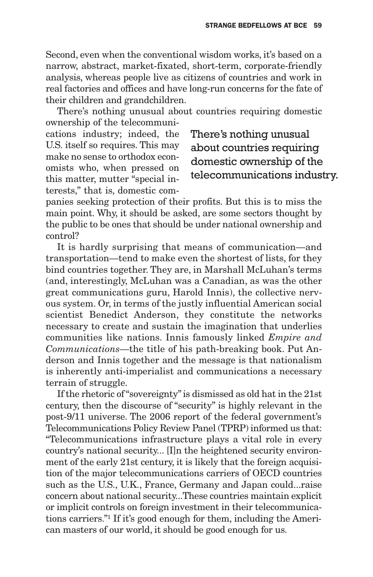Second, even when the conventional wisdom works, it's based on a narrow, abstract, market-fixated, short-term, corporate-friendly analysis, whereas people live as citizens of countries and work in real factories and offices and have long-run concerns for the fate of their children and grandchildren.

There's nothing unusual about countries requiring domestic ownership of the telecommuni-

cations industry; indeed, the U.S. itself so requires. This may make no sense to orthodox economists who, when pressed on this matter, mutter "special interests," that is, domestic com-

There's nothing unusual about countries requiring domestic ownership of the telecommunications industry.

panies seeking protection of their profits. But this is to miss the main point. Why, it should be asked, are some sectors thought by the public to be ones that should be under national ownership and control?

It is hardly surprising that means of communication—and transportation—tend to make even the shortest of lists, for they bind countries together. They are, in Marshall McLuhan's terms (and, interestingly, McLuhan was a Canadian, as was the other great communications guru, Harold Innis), the collective nervous system. Or, in terms of the justly influential American social scientist Benedict Anderson, they constitute the networks necessary to create and sustain the imagination that underlies communities like nations. Innis famously linked *Empire and Communications*—the title of his path-breaking book. Put Anderson and Innis together and the message is that nationalism is inherently anti-imperialist and communications a necessary terrain of struggle.

If the rhetoric of"sovereignty"is dismissed as old hat in the 21st century, then the discourse of "security" is highly relevant in the post-9/11 universe. The 2006 report of the federal government's Telecommunications Policy Review Panel (TPRP) informed us that: "Telecommunications infrastructure plays a vital role in every country's national security... [I]n the heightened security environment of the early 21st century, it is likely that the foreign acquisition of the major telecommunications carriers of OECD countries such as the U.S., U.K., France, Germany and Japan could...raise concern about national security...These countries maintain explicit or implicit controls on foreign investment in their telecommunications carriers."1 If it's good enough for them, including the American masters of our world, it should be good enough for us.